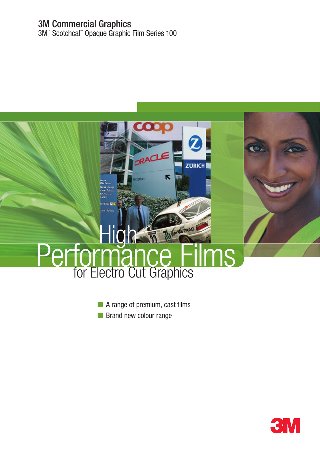## 3M Commercial Graphics

3M™ Scotchcal™ Opaque Graphic Film Series 100



- A range of premium, cast films
- Brand new colour range